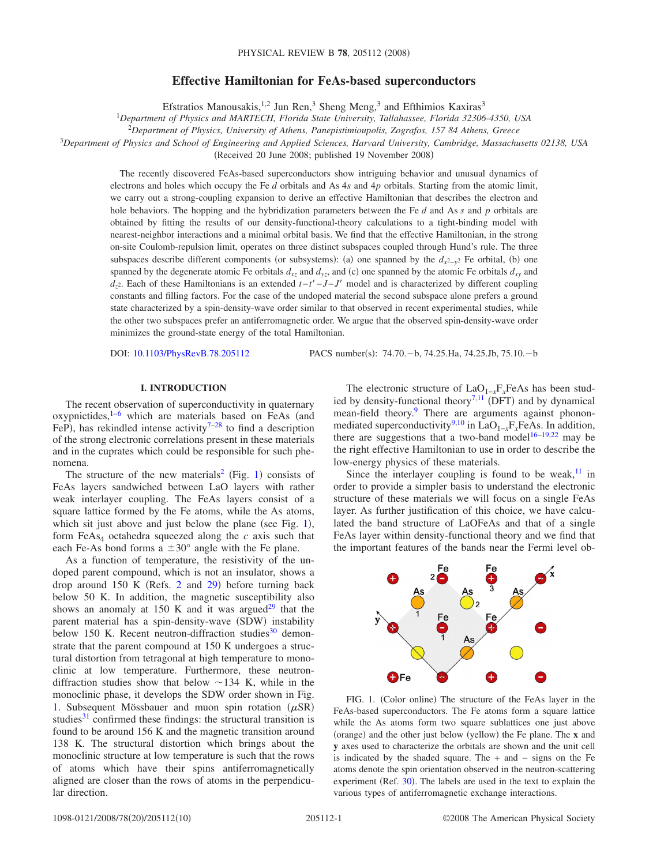# **Effective Hamiltonian for FeAs-based superconductors**

Efstratios Manousakis,<sup>1,2</sup> Jun Ren,<sup>3</sup> Sheng Meng,<sup>3</sup> and Efthimios Kaxiras<sup>3</sup>

1 *Department of Physics and MARTECH, Florida State University, Tallahassee, Florida 32306-4350, USA*

2 *Department of Physics, University of Athens, Panepistimioupolis, Zografos, 157 84 Athens, Greece*

<sup>3</sup>*Department of Physics and School of Engineering and Applied Sciences, Harvard University, Cambridge, Massachusetts 02138, USA*

(Received 20 June 2008; published 19 November 2008)

The recently discovered FeAs-based superconductors show intriguing behavior and unusual dynamics of electrons and holes which occupy the Fe *d* orbitals and As 4*s* and 4*p* orbitals. Starting from the atomic limit, we carry out a strong-coupling expansion to derive an effective Hamiltonian that describes the electron and hole behaviors. The hopping and the hybridization parameters between the Fe *d* and As *s* and *p* orbitals are obtained by fitting the results of our density-functional-theory calculations to a tight-binding model with nearest-neighbor interactions and a minimal orbital basis. We find that the effective Hamiltonian, in the strong on-site Coulomb-repulsion limit, operates on three distinct subspaces coupled through Hund's rule. The three subspaces describe different components (or subsystems): (a) one spanned by the  $d_{x^2-y^2}$  Fe orbital, (b) one spanned by the degenerate atomic Fe orbitals  $d_{xz}$  and  $d_{yz}$ , and (c) one spanned by the atomic Fe orbitals  $d_{xy}$  and *d<sub>z</sub>*2. Each of these Hamiltonians is an extended *t*−*t*<sup>−</sup>*J*−*J*' model and is characterized by different coupling constants and filling factors. For the case of the undoped material the second subspace alone prefers a ground state characterized by a spin-density-wave order similar to that observed in recent experimental studies, while the other two subspaces prefer an antiferromagnetic order. We argue that the observed spin-density-wave order minimizes the ground-state energy of the total Hamiltonian.

DOI: [10.1103/PhysRevB.78.205112](http://dx.doi.org/10.1103/PhysRevB.78.205112)

PACS number(s):  $74.70 - b$ ,  $74.25.Ha$ ,  $74.25.Jb$ ,  $75.10.-b$ 

### **I. INTRODUCTION**

The recent observation of superconductivity in quaternary oxypnictides, $1-6$  which are materials based on FeAs (and FeP), has rekindled intense activity<sup>7[–28](#page-9-3)</sup> to find a description of the strong electronic correlations present in these materials and in the cuprates which could be responsible for such phenomena.

The structure of the new materials<sup>2</sup> (Fig. [1](#page-0-0)) consists of FeAs layers sandwiched between LaO layers with rather weak interlayer coupling. The FeAs layers consist of a square lattice formed by the Fe atoms, while the As atoms, which sit just above and just below the plane (see Fig. [1](#page-0-0)), form  $FeAs<sub>4</sub> octahedra squeezed along the *c* axis such that$ each Fe-As bond forms a  $\pm 30^{\circ}$  angle with the Fe plane.

As a function of temperature, the resistivity of the undoped parent compound, which is not an insulator, shows a drop around  $150 \text{ K}$  (Refs. [2](#page-9-4) and  $29$ ) before turning back below 50 K. In addition, the magnetic susceptibility also shows an anomaly at 150 K and it was argued<sup>29</sup> that the parent material has a spin-density-wave (SDW) instability below 150 K. Recent neutron-diffraction studies $30$  demonstrate that the parent compound at 150 K undergoes a structural distortion from tetragonal at high temperature to monoclinic at low temperature. Furthermore, these neutrondiffraction studies show that below  $\sim$ 134 K, while in the monoclinic phase, it develops the SDW order shown in Fig. [1.](#page-0-0) Subsequent Mössbauer and muon spin rotation  $(\mu SR)$ studies<sup>31</sup> confirmed these findings: the structural transition is found to be around 156 K and the magnetic transition around 138 K. The structural distortion which brings about the monoclinic structure at low temperature is such that the rows of atoms which have their spins antiferromagnetically aligned are closer than the rows of atoms in the perpendicular direction.

The electronic structure of LaO<sub>1−*x*</sub>F<sub>*x*</sub>FeAs has been stud-ied by density-functional theory<sup>7,[11](#page-9-8)</sup> (DFT) and by dynamical mean-field theory.<sup>9</sup> There are arguments against phonon-mediated superconductivity<sup>9,[10](#page-9-10)</sup> in LaO<sub>1−*x*</sub>F<sub>*x*</sub>FeAs. In addition, there are suggestions that a two-band model<sup>16[–19,](#page-9-12)[22](#page-9-13)</sup> may be the right effective Hamiltonian to use in order to describe the low-energy physics of these materials.

Since the interlayer coupling is found to be weak, $\frac{11}{11}$  in order to provide a simpler basis to understand the electronic structure of these materials we will focus on a single FeAs layer. As further justification of this choice, we have calculated the band structure of LaOFeAs and that of a single FeAs layer within density-functional theory and we find that the important features of the bands near the Fermi level ob-

<span id="page-0-0"></span>

FIG. 1. (Color online) The structure of the FeAs layer in the FeAs-based superconductors. The Fe atoms form a square lattice while the As atoms form two square sublattices one just above (orange) and the other just below (yellow) the Fe plane. The **x** and **y** axes used to characterize the orbitals are shown and the unit cell is indicated by the shaded square. The + and − signs on the Fe atoms denote the spin orientation observed in the neutron-scattering experiment (Ref. [30](#page-9-6)). The labels are used in the text to explain the various types of antiferromagnetic exchange interactions.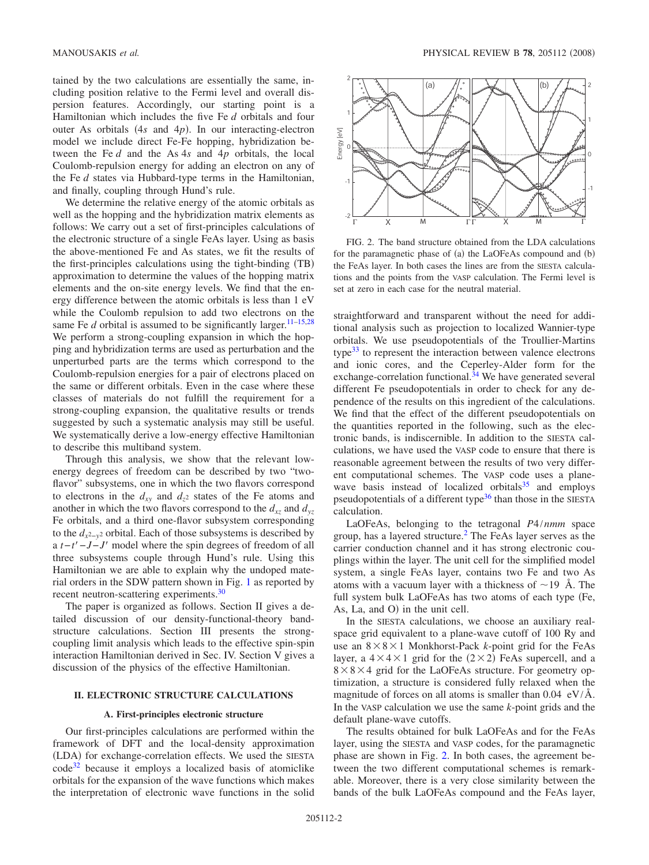tained by the two calculations are essentially the same, including position relative to the Fermi level and overall dispersion features. Accordingly, our starting point is a Hamiltonian which includes the five Fe *d* orbitals and four outer As orbitals  $(4s \text{ and } 4p)$ . In our interacting-electron model we include direct Fe-Fe hopping, hybridization between the Fe *d* and the As 4*s* and 4*p* orbitals, the local Coulomb-repulsion energy for adding an electron on any of the Fe *d* states via Hubbard-type terms in the Hamiltonian, and finally, coupling through Hund's rule.

We determine the relative energy of the atomic orbitals as well as the hopping and the hybridization matrix elements as follows: We carry out a set of first-principles calculations of the electronic structure of a single FeAs layer. Using as basis the above-mentioned Fe and As states, we fit the results of the first-principles calculations using the tight-binding (TB) approximation to determine the values of the hopping matrix elements and the on-site energy levels. We find that the energy difference between the atomic orbitals is less than 1 eV while the Coulomb repulsion to add two electrons on the same Fe  $d$  orbital is assumed to be significantly larger.<sup>11[–15](#page-9-14)[,28](#page-9-3)</sup> We perform a strong-coupling expansion in which the hopping and hybridization terms are used as perturbation and the unperturbed parts are the terms which correspond to the Coulomb-repulsion energies for a pair of electrons placed on the same or different orbitals. Even in the case where these classes of materials do not fulfill the requirement for a strong-coupling expansion, the qualitative results or trends suggested by such a systematic analysis may still be useful. We systematically derive a low-energy effective Hamiltonian to describe this multiband system.

Through this analysis, we show that the relevant lowenergy degrees of freedom can be described by two "twoflavor" subsystems, one in which the two flavors correspond to electrons in the  $d_{xy}$  and  $d_{z^2}$  states of the Fe atoms and another in which the two flavors correspond to the  $d_{xz}$  and  $d_{yz}$ Fe orbitals, and a third one-flavor subsystem corresponding to the  $d_{x^2-y^2}$  orbital. Each of those subsystems is described by a *t*−*t*−*J*−*J* model where the spin degrees of freedom of all three subsystems couple through Hund's rule. Using this Hamiltonian we are able to explain why the undoped material orders in the SDW pattern shown in Fig. [1](#page-0-0) as reported by recent neutron-scattering experiments[.30](#page-9-6)

The paper is organized as follows. Section II gives a detailed discussion of our density-functional-theory bandstructure calculations. Section III presents the strongcoupling limit analysis which leads to the effective spin-spin interaction Hamiltonian derived in Sec. IV. Section V gives a discussion of the physics of the effective Hamiltonian.

## **II. ELECTRONIC STRUCTURE CALCULATIONS**

### **A. First-principles electronic structure**

Our first-principles calculations are performed within the framework of DFT and the local-density approximation (LDA) for exchange-correlation effects. We used the SIESTA cod[e32](#page-9-15) because it employs a localized basis of atomiclike orbitals for the expansion of the wave functions which makes the interpretation of electronic wave functions in the solid

<span id="page-1-0"></span>

FIG. 2. The band structure obtained from the LDA calculations for the paramagnetic phase of (a) the LaOFeAs compound and (b) the FeAs layer. In both cases the lines are from the SIESTA calculations and the points from the VASP calculation. The Fermi level is set at zero in each case for the neutral material.

straightforward and transparent without the need for additional analysis such as projection to localized Wannier-type orbitals. We use pseudopotentials of the Troullier-Martins type $33$  to represent the interaction between valence electrons and ionic cores, and the Ceperley-Alder form for the exchange-correlation functional. $34$  We have generated several different Fe pseudopotentials in order to check for any dependence of the results on this ingredient of the calculations. We find that the effect of the different pseudopotentials on the quantities reported in the following, such as the electronic bands, is indiscernible. In addition to the SIESTA calculations, we have used the VASP code to ensure that there is reasonable agreement between the results of two very different computational schemes. The VASP code uses a planewave basis instead of localized orbitals $35$  and employs pseudopotentials of a different type<sup>36</sup> than those in the SIESTA calculation.

LaOFeAs, belonging to the tetragonal *P*4/*nmm* space group, has a layered structure. $<sup>2</sup>$  The FeAs layer serves as the</sup> carrier conduction channel and it has strong electronic couplings within the layer. The unit cell for the simplified model system, a single FeAs layer, contains two Fe and two As atoms with a vacuum layer with a thickness of  $\sim$ 19 Å. The full system bulk LaOFeAs has two atoms of each type (Fe, As, La, and  $O$ ) in the unit cell.

In the SIESTA calculations, we choose an auxiliary realspace grid equivalent to a plane-wave cutoff of 100 Ry and use an  $8 \times 8 \times 1$  Monkhorst-Pack *k*-point grid for the FeAs layer, a  $4 \times 4 \times 1$  grid for the  $(2 \times 2)$  FeAs supercell, and a  $8 \times 8 \times 4$  grid for the LaOFeAs structure. For geometry optimization, a structure is considered fully relaxed when the magnitude of forces on all atoms is smaller than  $0.04$  eV/ $\AA$ . In the VASP calculation we use the same *k*-point grids and the default plane-wave cutoffs.

The results obtained for bulk LaOFeAs and for the FeAs layer, using the SIESTA and VASP codes, for the paramagnetic phase are shown in Fig. [2.](#page-1-0) In both cases, the agreement between the two different computational schemes is remarkable. Moreover, there is a very close similarity between the bands of the bulk LaOFeAs compound and the FeAs layer,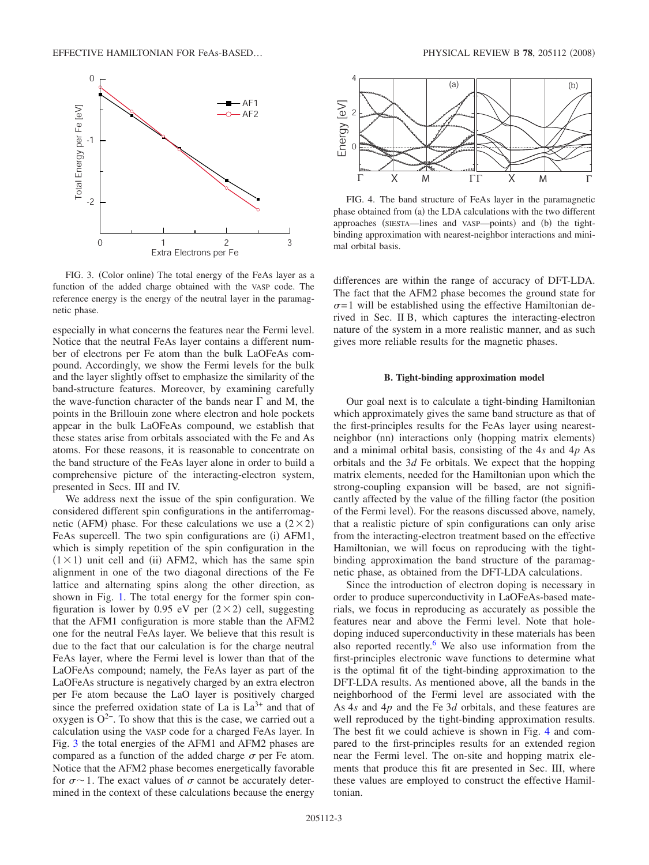<span id="page-2-0"></span>

FIG. 3. (Color online) The total energy of the FeAs layer as a function of the added charge obtained with the VASP code. The reference energy is the energy of the neutral layer in the paramagnetic phase.

especially in what concerns the features near the Fermi level. Notice that the neutral FeAs layer contains a different number of electrons per Fe atom than the bulk LaOFeAs compound. Accordingly, we show the Fermi levels for the bulk and the layer slightly offset to emphasize the similarity of the band-structure features. Moreover, by examining carefully the wave-function character of the bands near  $\Gamma$  and M, the points in the Brillouin zone where electron and hole pockets appear in the bulk LaOFeAs compound, we establish that these states arise from orbitals associated with the Fe and As atoms. For these reasons, it is reasonable to concentrate on the band structure of the FeAs layer alone in order to build a comprehensive picture of the interacting-electron system, presented in Secs. III and IV.

We address next the issue of the spin configuration. We considered different spin configurations in the antiferromagnetic (AFM) phase. For these calculations we use a  $(2\times2)$ FeAs supercell. The two spin configurations are (i) AFM1, which is simply repetition of the spin configuration in the  $(1 \times 1)$  unit cell and (ii) AFM2, which has the same spin alignment in one of the two diagonal directions of the Fe lattice and alternating spins along the other direction, as shown in Fig. [1.](#page-0-0) The total energy for the former spin configuration is lower by 0.95 eV per  $(2 \times 2)$  cell, suggesting that the AFM1 configuration is more stable than the AFM2 one for the neutral FeAs layer. We believe that this result is due to the fact that our calculation is for the charge neutral FeAs layer, where the Fermi level is lower than that of the LaOFeAs compound; namely, the FeAs layer as part of the LaOFeAs structure is negatively charged by an extra electron per Fe atom because the LaO layer is positively charged since the preferred oxidation state of La is  $La^{3+}$  and that of oxygen is  $O^{2-}$ . To show that this is the case, we carried out a calculation using the VASP code for a charged FeAs layer. In Fig. [3](#page-2-0) the total energies of the AFM1 and AFM2 phases are compared as a function of the added charge  $\sigma$  per Fe atom. Notice that the AFM2 phase becomes energetically favorable for  $\sigma \sim 1$ . The exact values of  $\sigma$  cannot be accurately determined in the context of these calculations because the energy

<span id="page-2-1"></span>

FIG. 4. The band structure of FeAs layer in the paramagnetic phase obtained from (a) the LDA calculations with the two different approaches (SIESTA—lines and VASP—points) and (b) the tightbinding approximation with nearest-neighbor interactions and minimal orbital basis.

differences are within the range of accuracy of DFT-LDA. The fact that the AFM2 phase becomes the ground state for  $\sigma$ =1 will be established using the effective Hamiltonian derived in Sec. II B, which captures the interacting-electron nature of the system in a more realistic manner, and as such gives more reliable results for the magnetic phases.

#### **B. Tight-binding approximation model**

Our goal next is to calculate a tight-binding Hamiltonian which approximately gives the same band structure as that of the first-principles results for the FeAs layer using nearestneighbor (nn) interactions only (hopping matrix elements) and a minimal orbital basis, consisting of the 4*s* and 4*p* As orbitals and the 3*d* Fe orbitals. We expect that the hopping matrix elements, needed for the Hamiltonian upon which the strong-coupling expansion will be based, are not significantly affected by the value of the filling factor (the position of the Fermi level). For the reasons discussed above, namely, that a realistic picture of spin configurations can only arise from the interacting-electron treatment based on the effective Hamiltonian, we will focus on reproducing with the tightbinding approximation the band structure of the paramagnetic phase, as obtained from the DFT-LDA calculations.

Since the introduction of electron doping is necessary in order to produce superconductivity in LaOFeAs-based materials, we focus in reproducing as accurately as possible the features near and above the Fermi level. Note that holedoping induced superconductivity in these materials has been also reported recently. $6$  We also use information from the first-principles electronic wave functions to determine what is the optimal fit of the tight-binding approximation to the DFT-LDA results. As mentioned above, all the bands in the neighborhood of the Fermi level are associated with the As 4*s* and 4*p* and the Fe 3*d* orbitals, and these features are well reproduced by the tight-binding approximation results. The best fit we could achieve is shown in Fig. [4](#page-2-1) and compared to the first-principles results for an extended region near the Fermi level. The on-site and hopping matrix elements that produce this fit are presented in Sec. III, where these values are employed to construct the effective Hamiltonian.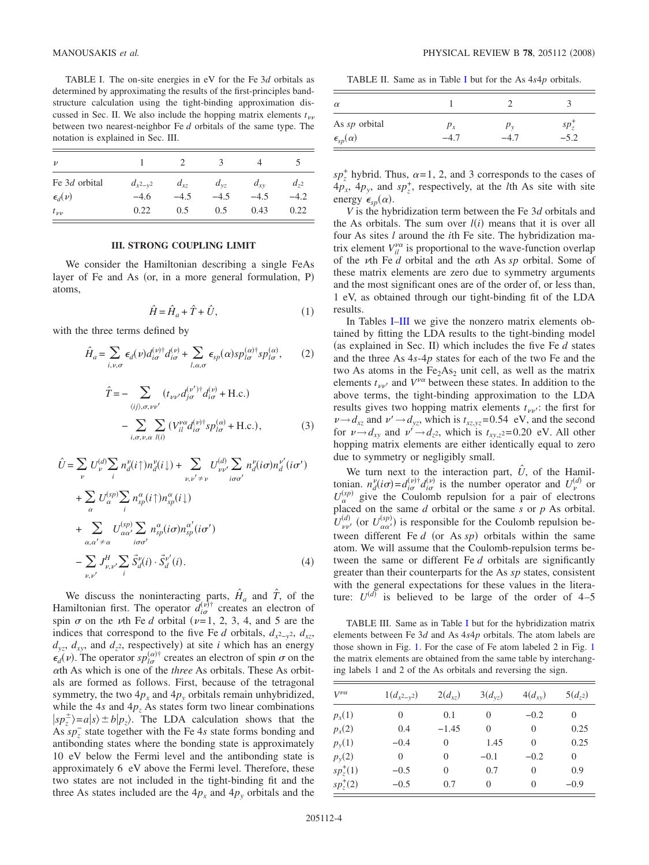<span id="page-3-0"></span>TABLE I. The on-site energies in eV for the Fe 3*d* orbitals as determined by approximating the results of the first-principles bandstructure calculation using the tight-binding approximation discussed in Sec. II. We also include the hopping matrix elements  $t_{\nu\nu}$ between two nearest-neighbor Fe *d* orbitals of the same type. The notation is explained in Sec. III.

| $\boldsymbol{\nu}$                 |                         |                    |                    |                    |                    |
|------------------------------------|-------------------------|--------------------|--------------------|--------------------|--------------------|
| Fe 3d orbital<br>$\epsilon_d(\nu)$ | $d_{x^2-y^2}$<br>$-4.6$ | $d_{xz}$<br>$-4.5$ | $d_{vz}$<br>$-4.5$ | $d_{xy}$<br>$-4.5$ | $d_{72}$<br>$-4.2$ |
| $t_{\nu\nu}$                       | 0.22                    | 0.5                | 0.5                | 0.43               | 0.22               |

#### **III. STRONG COUPLING LIMIT**

We consider the Hamiltonian describing a single FeAs layer of Fe and As (or, in a more general formulation, P) atoms,

$$
\hat{H} = \hat{H}_a + \hat{T} + \hat{U},\tag{1}
$$

with the three terms defined by

$$
\hat{H}_a = \sum_{i,\nu,\sigma} \epsilon_d(\nu) d_{i\sigma}^{(\nu)\dagger} d_{i\sigma}^{(\nu)} + \sum_{l,\alpha,\sigma} \epsilon_{sp}(\alpha) s p_{l\sigma}^{(\alpha)\dagger} s p_{l\sigma}^{(\alpha)},\tag{2}
$$

$$
\hat{T} = -\sum_{\langle ij \rangle, \sigma, \nu \nu'} (t_{\nu \nu'} d_{j\sigma}^{(\nu')}^{\dagger} d_{i\sigma}^{(\nu)} + \text{H.c.})
$$

$$
-\sum_{i, \sigma, \nu, \alpha} \sum_{l(i)} (V_{il}^{\nu \alpha} d_{i\sigma}^{(\nu)\dagger} s p_{l\sigma}^{(\alpha)} + \text{H.c.}), \tag{3}
$$

$$
\hat{U} = \sum_{\nu} U_{\nu}^{(d)} \sum_{i} n_{d}^{\nu}(i\uparrow) n_{d}^{\nu}(i\downarrow) + \sum_{\nu, \nu' \neq \nu} U_{\nu\nu'}^{(d)} \sum_{i\sigma\sigma'} n_{d}^{\nu}(i\sigma) n_{d}^{\nu'}(i\sigma')
$$
  
+ 
$$
\sum_{\alpha} U_{\alpha}^{(sp)} \sum_{i} n_{sp}^{\alpha}(i\uparrow) n_{sp}^{\alpha}(i\downarrow)
$$
  
+ 
$$
\sum_{\alpha,\alpha'\neq \alpha} U_{\alpha\alpha'}^{(sp)} \sum_{i\sigma\sigma'} n_{sp}^{\alpha}(i\sigma) n_{sp}^{\alpha'}(i\sigma')
$$
  
- 
$$
\sum_{\nu,\nu'} J_{\nu,\nu'}^H \sum_{i} \vec{S}_{d}^{\nu}(i) \cdot \vec{S}_{d}^{\nu'}(i).
$$
 (4)

We discuss the noninteracting parts,  $\hat{H}_a$  and  $\hat{T}$ , of the Hamiltonian first. The operator  $d_{i\sigma}^{(\nu)\dagger}$  creates an electron of spin  $\sigma$  on the  $\nu$ th Fe *d* orbital ( $\nu$ =1, 2, 3, 4, and 5 are the indices that correspond to the five Fe *d* orbitals,  $d_{x^2-y^2}$ ,  $d_{xz}$ ,  $d_{yz}$ ,  $d_{xy}$ , and  $d_{z^2}$ , respectively) at site *i* which has an energy  $\epsilon_d(\nu)$ . The operator  $s p_{l\sigma}^{(\alpha)\dagger}$  creates an electron of spin  $\sigma$  on the th As which is one of the *three* As orbitals. These As orbitals are formed as follows. First, because of the tetragonal symmetry, the two  $4p_x$  and  $4p_y$  orbitals remain unhybridized, while the 4*s* and  $4p_z$  As states form two linear combinations  $|sp_z^{\pm}\rangle = a|s\rangle \pm b|p_z\rangle$ . The LDA calculation shows that the As  $sp_{z}^{-}$  state together with the Fe 4s state forms bonding and antibonding states where the bonding state is approximately 10 eV below the Fermi level and the antibonding state is approximately 6 eV above the Fermi level. Therefore, these two states are not included in the tight-binding fit and the three As states included are the  $4p_x$  and  $4p_y$  orbitals and the

TABLE II. Same as in Table [I](#page-3-0) but for the As 4*s*4*p* orbitals.

| $\alpha$                |         |          |          |
|-------------------------|---------|----------|----------|
| As sp orbital           | $p_{x}$ | $p_v$    | $sp_{z}$ |
| $\epsilon_{sp}(\alpha)$ |         | $-4^{1}$ | $-5.2$   |

 $sp_z^+$  hybrid. Thus,  $\alpha = 1, 2$ , and 3 corresponds to the cases of  $4p_x$ ,  $4p_y$ , and  $sp_z^+$ , respectively, at the *l*th As site with site energy  $\epsilon_{sp}(\alpha)$ .

*V* is the hybridization term between the Fe 3*d* orbitals and the As orbitals. The sum over  $l(i)$  means that it is over all four As sites *l* around the *i*th Fe site. The hybridization matrix element  $V_{il}^{\nu\alpha}$  is proportional to the wave-function overlap of the *v*th Fe *d* orbital and the  $\alpha$ th As *sp* orbital. Some of these matrix elements are zero due to symmetry arguments and the most significant ones are of the order of, or less than, 1 eV, as obtained through our tight-binding fit of the LDA results.

In Tables [I–](#page-3-0)[III](#page-3-1) we give the nonzero matrix elements obtained by fitting the LDA results to the tight-binding model (as explained in Sec. II) which includes the five  $Fe\ d$  states and the three As 4*s*-4*p* states for each of the two Fe and the two As atoms in the  $Fe<sub>2</sub>As<sub>2</sub>$  unit cell, as well as the matrix elements  $t_{\mu\nu}$  and  $V^{\nu\alpha}$  between these states. In addition to the above terms, the tight-binding approximation to the LDA results gives two hopping matrix elements  $t_{\nu\nu}$ : the first for  $\nu \rightarrow d_{xz}$  and  $\nu' \rightarrow d_{yz}$ , which is  $t_{xz,yz}$ =0.54 eV, and the second for  $\nu \rightarrow d_{xy}$  and  $\nu' \rightarrow d_{z^2}$ , which is  $t_{xy,z^2}=0.20$  eV. All other hopping matrix elements are either identically equal to zero due to symmetry or negligibly small.

We turn next to the interaction part,  $\hat{U}$ , of the Hamiltonian.  $n_d^{\nu}(i\sigma) = d_{i\sigma}^{(\nu)\dagger} d_{i\sigma}^{(\nu)}$  is the number operator and  $U_{\nu}^{(d)}$  or  $U_{\alpha}^{(sp)}$  give the Coulomb repulsion for a pair of electrons placed on the same *d* orbital or the same *s* or *p* As orbital.  $U_{\nu\nu'}^{(d)}$  (or  $U_{\alpha\alpha'}^{(sp)}$ ) is responsible for the Coulomb repulsion between different Fe  $d$  (or As  $sp$ ) orbitals within the same atom. We will assume that the Coulomb-repulsion terms between the same or different Fe *d* orbitals are significantly greater than their counterparts for the As *sp* states, consistent with the general expectations for these values in the literature:  $U^{(d)}$  is believed to be large of the order of 4–5

<span id="page-3-1"></span>TABLE III. Same as in Table [I](#page-3-0) but for the hybridization matrix elements between Fe 3*d* and As 4*s*4*p* orbitals. The atom labels are those shown in Fig. [1.](#page-0-0) For the case of Fe atom labeled 2 in Fig. [1](#page-0-0) the matrix elements are obtained from the same table by interchanging labels 1 and 2 of the As orbitals and reversing the sign.

| $V^{\nu\alpha}$ | $1(d_{x^2-y^2})$ | $2(d_{xz})$    | $3(d_{yz})$ | $4(d_{xy})$ | $5(d_{z^2})$ |
|-----------------|------------------|----------------|-------------|-------------|--------------|
| $p_x(1)$        | $\overline{0}$   | 0.1            | $\theta$    | $-0.2$      | $\Omega$     |
| $p_x(2)$        | 0.4              | $-1.45$        | $\theta$    | 0           | 0.25         |
| $p_{y}(1)$      | $-0.4$           | $\overline{0}$ | 1.45        | $\Omega$    | 0.25         |
| $p_{y}(2)$      | $\Omega$         | $\Omega$       | $-0.1$      | $-0.2$      | $\Omega$     |
| $sp_z^+(1)$     | $-0.5$           | $\theta$       | 0.7         | 0           | 0.9          |
| $sp_{z}^{+}(2)$ | $-0.5$           | 0.7            | $\theta$    | $\theta$    | $-0.9$       |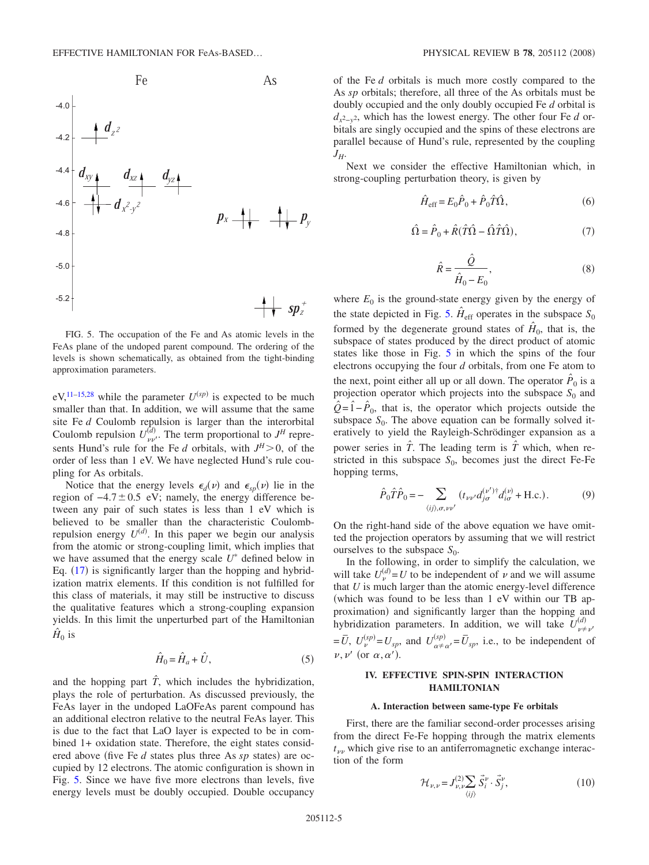<span id="page-4-0"></span>

FIG. 5. The occupation of the Fe and As atomic levels in the FeAs plane of the undoped parent compound. The ordering of the levels is shown schematically, as obtained from the tight-binding approximation parameters.

 $eV,$ <sup>11–[15,](#page-9-14)[28](#page-9-3)</sup> while the parameter  $U^{(sp)}$  is expected to be much smaller than that. In addition, we will assume that the same site Fe *d* Coulomb repulsion is larger than the interorbital Coulomb repulsion  $U_{\nu\nu}^{(d)}$ . The term proportional to  $J^H$  represents Hund's rule for the Fe *d* orbitals, with  $J^H > 0$ , of the order of less than 1 eV. We have neglected Hund's rule coupling for As orbitals.

Notice that the energy levels  $\epsilon_d(\nu)$  and  $\epsilon_{sp}(\nu)$  lie in the region of  $-4.7 \pm 0.5$  eV; namely, the energy difference between any pair of such states is less than 1 eV which is believed to be smaller than the characteristic Coulombrepulsion energy  $U^{(d)}$ . In this paper we begin our analysis from the atomic or strong-coupling limit, which implies that we have assumed that the energy scale  $U^*$  defined below in Eq.  $(17)$  $(17)$  $(17)$  is significantly larger than the hopping and hybridization matrix elements. If this condition is not fulfilled for this class of materials, it may still be instructive to discuss the qualitative features which a strong-coupling expansion yields. In this limit the unperturbed part of the Hamiltonian  $H_0$  is

$$
\hat{H}_0 = \hat{H}_a + \hat{U},\tag{5}
$$

and the hopping part  $\hat{T}$ , which includes the hybridization, plays the role of perturbation. As discussed previously, the FeAs layer in the undoped LaOFeAs parent compound has an additional electron relative to the neutral FeAs layer. This is due to the fact that LaO layer is expected to be in combined 1+ oxidation state. Therefore, the eight states considered above (five Fe *d* states plus three As *sp* states) are occupied by 12 electrons. The atomic configuration is shown in Fig. [5.](#page-4-0) Since we have five more electrons than levels, five energy levels must be doubly occupied. Double occupancy

of the Fe *d* orbitals is much more costly compared to the As *sp* orbitals; therefore, all three of the As orbitals must be doubly occupied and the only doubly occupied Fe *d* orbital is *dx*2−*y*2, which has the lowest energy. The other four Fe *d* orbitals are singly occupied and the spins of these electrons are parallel because of Hund's rule, represented by the coupling *JH*.

Next we consider the effective Hamiltonian which, in strong-coupling perturbation theory, is given by

$$
\hat{H}_{\text{eff}} = E_0 \hat{P}_0 + \hat{P}_0 \hat{T} \hat{\Omega},\tag{6}
$$

$$
\hat{\Omega} = \hat{P}_0 + \hat{R}(\hat{T}\hat{\Omega} - \hat{\Omega}\hat{T}\hat{\Omega}),\tag{7}
$$

$$
\hat{R} = \frac{\hat{Q}}{\hat{H}_0 - E_0},\tag{8}
$$

where  $E_0$  is the ground-state energy given by the energy of the state depicted in Fig. [5.](#page-4-0)  $\hat{H}_{\text{eff}}$  operates in the subspace  $S_0$ formed by the degenerate ground states of  $\hat{H}_0$ , that is, the subspace of states produced by the direct product of atomic states like those in Fig. [5](#page-4-0) in which the spins of the four electrons occupying the four *d* orbitals, from one Fe atom to the next, point either all up or all down. The operator  $\hat{P}_0$  is a projection operator which projects into the subspace  $S_0$  and  $\hat{Q} = \hat{1} - \hat{P}_0$ , that is, the operator which projects outside the subspace  $S_0$ . The above equation can be formally solved iteratively to yield the Rayleigh-Schrödinger expansion as a power series in  $\hat{T}$ . The leading term is  $\hat{T}$  which, when restricted in this subspace  $S_0$ , becomes just the direct Fe-Fe hopping terms,

$$
\hat{P}_0 \hat{T} \hat{P}_0 = - \sum_{\langle ij \rangle, \sigma, \nu \nu'} (t_{\nu \nu'} d_{j \sigma}^{(\nu')} \dagger d_{i \sigma}^{(\nu)} + \text{H.c.}). \tag{9}
$$

On the right-hand side of the above equation we have omitted the projection operators by assuming that we will restrict ourselves to the subspace  $S_0$ .

In the following, in order to simplify the calculation, we will take  $U_{\nu}^{(d)} = U$  to be independent of  $\nu$  and we will assume that *U* is much larger than the atomic energy-level difference which was found to be less than 1 eV within our TB approximation) and significantly larger than the hopping and hybridization parameters. In addition, we will take  $U_{\nu\neq\nu}^{(d)}$  $=\overline{U}$ ,  $U_{\nu}^{(sp)}=U_{sp}$ , and  $U_{\alpha+\alpha}^{(sp)}=\overline{U}_{sp}$ , i.e., to be independent of  $\nu, \nu'$  (or  $\alpha, \alpha'$ ).

## **IV. EFFECTIVE SPIN-SPIN INTERACTION HAMILTONIAN**

#### **A. Interaction between same-type Fe orbitals**

First, there are the familiar second-order processes arising from the direct Fe-Fe hopping through the matrix elements  $t_{\nu\nu}$  which give rise to an antiferromagnetic exchange interaction of the form

$$
\mathcal{H}_{\nu,\nu} = J_{\nu,\nu}^{(2)} \sum_{\langle ij \rangle} \vec{S}_i^{\nu} \cdot \vec{S}_j^{\nu},\tag{10}
$$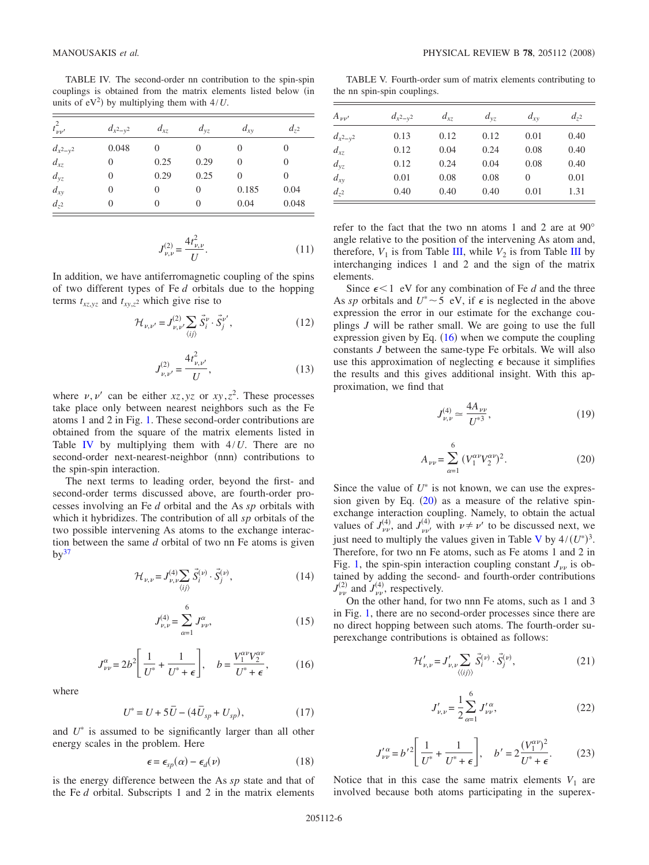<span id="page-5-1"></span>TABLE IV. The second-order nn contribution to the spin-spin couplings is obtained from the matrix elements listed below in units of  $eV^2$ ) by multiplying them with  $4/U$ .

| $t_{\nu\nu'}^2$ | $d_{x^2-y^2}$ | $d_{xz}$ | $d_{yz}$ | $d_{xy}$ | $d_{z^2}$ |
|-----------------|---------------|----------|----------|----------|-----------|
| $d_{x^2-y^2}$   | 0.048         |          |          |          | 0         |
| $d_{xz}$        |               | 0.25     | 0.29     | 0        | 0         |
| $d_{yz}$        | 0             | 0.29     | 0.25     | 0        | 0         |
| $d_{xy}$        | $\mathcal{L}$ | $\theta$ | $\theta$ | 0.185    | 0.04      |
| $d_{z^2}$       |               | $\theta$ | 0        | 0.04     | 0.048     |

$$
J_{\nu,\nu}^{(2)} = \frac{4t_{\nu,\nu}^2}{U}.
$$
\n(11)

In addition, we have antiferromagnetic coupling of the spins of two different types of Fe *d* orbitals due to the hopping terms  $t_{xz,yz}$  and  $t_{xy,z}$ <sup>2</sup> which give rise to

$$
\mathcal{H}_{\nu,\nu'} = J^{(2)}_{\nu,\nu'} \sum_{\langle ij \rangle} \vec{S}^{\nu}_{i} \cdot \vec{S}^{\nu'}_{j}, \qquad (12)
$$

$$
J_{\nu,\nu'}^{(2)} = \frac{4t_{\nu,\nu'}^2}{U},\tag{13}
$$

where  $v, v'$  can be either  $xz, yz$  or  $xy, z^2$ . These processes take place only between nearest neighbors such as the Fe atoms 1 and 2 in Fig. [1.](#page-0-0) These second-order contributions are obtained from the square of the matrix elements listed in Table [IV](#page-5-1) by multiplying them with 4/*U*. There are no second-order next-nearest-neighbor (nnn) contributions to the spin-spin interaction.

The next terms to leading order, beyond the first- and second-order terms discussed above, are fourth-order processes involving an Fe *d* orbital and the As *sp* orbitals with which it hybridizes. The contribution of all *sp* orbitals of the two possible intervening As atoms to the exchange interaction between the same *d* orbital of two nn Fe atoms is given  $by<sup>37</sup>$  $by<sup>37</sup>$  $by<sup>37</sup>$ 

$$
\mathcal{H}_{\nu,\nu} = J_{\nu,\nu}^{(4)} \sum_{\langle ij \rangle} \vec{S}_i^{(\nu)} \cdot \vec{S}_j^{(\nu)},\tag{14}
$$

$$
J_{\nu,\nu}^{(4)} = \sum_{\alpha=1}^{6} J_{\nu\nu}^{\alpha},\tag{15}
$$

$$
J_{\nu\nu}^{\alpha} = 2b^2 \left[ \frac{1}{U^*} + \frac{1}{U^* + \epsilon} \right], \quad b = \frac{V_1^{\alpha\nu} V_2^{\alpha\nu}}{U^* + \epsilon}, \tag{16}
$$

<span id="page-5-2"></span>where

$$
U^* = U + 5\bar{U} - (4\bar{U}_{sp} + U_{sp}),
$$
 (17)

<span id="page-5-0"></span>and  $U^*$  is assumed to be significantly larger than all other energy scales in the problem. Here

$$
\epsilon = \epsilon_{sp}(\alpha) - \epsilon_d(\nu) \tag{18}
$$

<span id="page-5-5"></span>is the energy difference between the As *sp* state and that of the Fe *d* orbital. Subscripts 1 and 2 in the matrix elements

TABLE V. Fourth-order sum of matrix elements contributing to the nn spin-spin couplings.

<span id="page-5-4"></span>

| $A_{\nu\nu'}$ | $d_{x^2-y^2}$ | $d_{xz}$ | $d_{vz}$ | $d_{xy}$ | $d_{72}$ |
|---------------|---------------|----------|----------|----------|----------|
| $d_{x^2-y^2}$ | 0.13          | 0.12     | 0.12     | 0.01     | 0.40     |
| $d_{xz}$      | 0.12          | 0.04     | 0.24     | 0.08     | 0.40     |
| $d_{yz}$      | 0.12          | 0.24     | 0.04     | 0.08     | 0.40     |
| $d_{xy}$      | 0.01          | 0.08     | 0.08     | 0        | 0.01     |
| $d_{72}$      | 0.40          | 0.40     | 0.40     | 0.01     | 1.31     |

refer to the fact that the two nn atoms 1 and 2 are at 90° angle relative to the position of the intervening As atom and, therefore,  $V_1$  is from Table [III,](#page-3-1) while  $V_2$  is from Table [III](#page-3-1) by interchanging indices 1 and 2 and the sign of the matrix elements.

Since  $\epsilon$  < 1 eV for any combination of Fe *d* and the three As *sp* orbitals and  $U^* \sim 5$  eV, if  $\epsilon$  is neglected in the above expression the error in our estimate for the exchange couplings *J* will be rather small. We are going to use the full expression given by Eq.  $(16)$  $(16)$  $(16)$  when we compute the coupling constants *J* between the same-type Fe orbitals. We will also use this approximation of neglecting  $\epsilon$  because it simplifies the results and this gives additional insight. With this approximation, we find that

$$
J_{\nu,\nu}^{(4)} \simeq \frac{4A_{\nu\nu}}{U^{*3}},\tag{19}
$$

$$
A_{\nu\nu} = \sum_{\alpha=1}^{6} (V_1^{\alpha\nu} V_2^{\alpha\nu})^2.
$$
 (20)

<span id="page-5-3"></span>Since the value of  $U^*$  is not known, we can use the expression given by Eq.  $(20)$  $(20)$  $(20)$  as a measure of the relative spinexchange interaction coupling. Namely, to obtain the actual values of  $J_{\nu\nu}^{(4)}$ , and  $J_{\nu\nu'}^{(4)}$  with  $\nu \neq \nu'$  to be discussed next, we just need to multiply the values given in Table [V](#page-5-4) by  $4/(U^*)^3$ . Therefore, for two nn Fe atoms, such as Fe atoms 1 and 2 in Fig. [1,](#page-0-0) the spin-spin interaction coupling constant  $J_{\nu\nu}$  is obtained by adding the second- and fourth-order contributions  $J_{\nu\nu}^{(2)}$  and  $J_{\nu\nu}^{(4)}$ , respectively.

On the other hand, for two nnn Fe atoms, such as 1 and 3 in Fig. [1,](#page-0-0) there are no second-order processes since there are no direct hopping between such atoms. The fourth-order superexchange contributions is obtained as follows:

$$
\mathcal{H}'_{\nu,\nu} = J'_{\nu,\nu} \sum_{\langle\langle ij\rangle\rangle} \vec{S}_i^{(\nu)} \cdot \vec{S}_j^{(\nu)},\tag{21}
$$

$$
J'_{\nu,\nu} = \frac{1}{2} \sum_{\alpha=1}^{6} J'_{\nu\nu}^{\alpha},\tag{22}
$$

$$
J_{\nu\nu}^{\prime\alpha} = b^{\prime 2} \left[ \frac{1}{U^*} + \frac{1}{U^* + \epsilon} \right], \quad b^{\prime} = 2 \frac{(V_1^{\alpha\nu})^2}{U^* + \epsilon}.
$$
 (23)

Notice that in this case the same matrix elements  $V_1$  are involved because both atoms participating in the superex-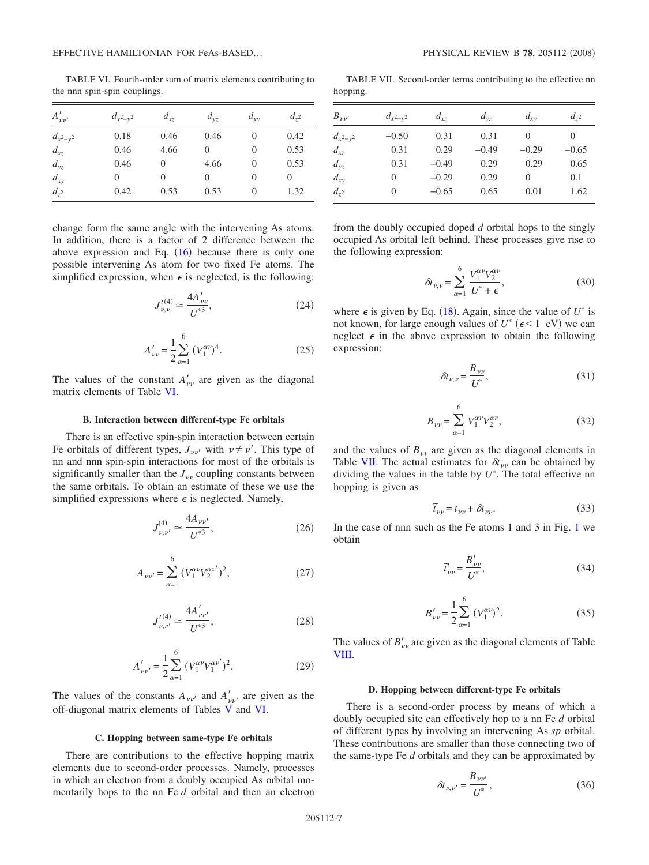TABLE VI. Fourth-order sum of matrix elements contributing to the nnn spin-spin couplings.

<span id="page-6-0"></span>

| $A'_{\nu\nu'}$ | $d_{x^2-y^2}$ | $d_{xz}$ | $d_{vz}$ | $d_{xy}$ | $d_{72}$ |
|----------------|---------------|----------|----------|----------|----------|
| $d_{x^2-y^2}$  | 0.18          | 0.46     | 0.46     | $\theta$ | 0.42     |
| $d_{xz}$       | 0.46          | 4.66     | $\Omega$ | 0        | 0.53     |
| $d_{yz}$       | 0.46          | 0        | 4.66     | $\theta$ | 0.53     |
| $d_{xy}$       | $\mathbf{0}$  | 0        | $\Omega$ | 0        | 0        |
| $d_{z^2}$      | 0.42          | 0.53     | 0.53     | $\Omega$ | 1.32     |

change form the same angle with the intervening As atoms. In addition, there is a factor of 2 difference between the above expression and Eq.  $(16)$  $(16)$  $(16)$  because there is only one possible intervening As atom for two fixed Fe atoms. The simplified expression, when  $\epsilon$  is neglected, is the following:

$$
J_{\nu,\nu}^{\prime(4)} \simeq \frac{4A_{\nu\nu}^{\prime}}{U^{*3}},\tag{24}
$$

$$
A'_{\nu\nu} = \frac{1}{2} \sum_{\alpha=1}^{6} (V_1^{\alpha\nu})^4.
$$
 (25)

The values of the constant  $A'_{\nu\nu}$  are given as the diagonal matrix elements of Table [VI.](#page-6-0)

## **B. Interaction between different-type Fe orbitals**

There is an effective spin-spin interaction between certain Fe orbitals of different types,  $J_{\nu\nu}$  with  $\nu \neq \nu'$ . This type of nn and nnn spin-spin interactions for most of the orbitals is significantly smaller than the  $J_{\nu\nu}$  coupling constants between the same orbitals. To obtain an estimate of these we use the simplified expressions where  $\epsilon$  is neglected. Namely,

$$
J_{\nu,\nu'}^{(4)} \simeq \frac{4A_{\nu\nu'}}{U^{*3}},\tag{26}
$$

$$
A_{\nu\nu'} = \sum_{\alpha=1}^{6} \left( V_1^{\alpha\nu} V_2^{\alpha\nu'} \right)^2, \tag{27}
$$

$$
J_{\nu,\nu'}^{(4)} \simeq \frac{4A'_{\nu\nu'}}{U^{*3}},\tag{28}
$$

$$
A'_{\nu\nu'} = \frac{1}{2} \sum_{\alpha=1}^{6} (V_1^{\alpha\nu} V_1^{\alpha\nu'})^2.
$$
 (29)

The values of the constants  $A_{\nu\nu'}$  and  $A'_{\nu\nu'}$  are given as the off-diagonal matrix elements of Tables [V](#page-5-4) and [VI.](#page-6-0)

#### **C. Hopping between same-type Fe orbitals**

There are contributions to the effective hopping matrix elements due to second-order processes. Namely, processes in which an electron from a doubly occupied As orbital momentarily hops to the nn Fe *d* orbital and then an electron

TABLE VII. Second-order terms contributing to the effective nn hopping.

<span id="page-6-1"></span>

| $B_{\nu\nu'}$ | $d_{x^2-y^2}$ | $d_{xz}$ | $d_{yz}$ | $d_{xy}$ | $d_{72}$ |
|---------------|---------------|----------|----------|----------|----------|
| $d_{x^2-y^2}$ | $-0.50$       | 0.31     | 0.31     |          | 0        |
| $d_{xz}$      | 0.31          | 0.29     | $-0.49$  | $-0.29$  | $-0.65$  |
| $d_{yz}$      | 0.31          | $-0.49$  | 0.29     | 0.29     | 0.65     |
| $d_{xy}$      | $\theta$      | $-0.29$  | 0.29     | 0        | 0.1      |
| $d_{z^2}$     | 0             | $-0.65$  | 0.65     | 0.01     | 1.62     |

from the doubly occupied doped *d* orbital hops to the singly occupied As orbital left behind. These processes give rise to the following expression:

$$
\delta t_{\nu,\nu} = \sum_{\alpha=1}^{6} \frac{V_1^{\alpha\nu} V_2^{\alpha\nu}}{U^* + \epsilon},\tag{30}
$$

where  $\epsilon$  is given by Eq. ([18](#page-5-5)). Again, since the value of  $U^*$  is not known, for large enough values of  $U^*$  ( $\epsilon$  < 1 eV) we can neglect  $\epsilon$  in the above expression to obtain the following expression:

$$
\delta t_{\nu,\nu} = \frac{B_{\nu\nu}}{U^*},\tag{31}
$$

$$
B_{\nu\nu} = \sum_{\alpha=1}^{6} V_1^{\alpha\nu} V_2^{\alpha\nu},\tag{32}
$$

and the values of  $B_{\nu\nu}$  are given as the diagonal elements in Table [VII.](#page-6-1) The actual estimates for  $\delta t_{\nu\nu}$  can be obtained by dividing the values in the table by *U* . The total effective nn hopping is given as

$$
\widetilde{t}_{\nu\nu} = t_{\nu\nu} + \delta t_{\nu\nu}.\tag{33}
$$

In the case of nnn such as the Fe atoms 1 and 3 in Fig. [1](#page-0-0) we obtain

$$
\tilde{t}'_{\nu\nu} = \frac{B'_{\nu\nu}}{U^*},\tag{34}
$$

$$
B'_{\nu\nu} = \frac{1}{2} \sum_{\alpha=1}^{6} (V_1^{\alpha\nu})^2.
$$
 (35)

The values of  $B_{\nu\nu}$  are given as the diagonal elements of Table [VIII.](#page-7-0)

#### **D. Hopping between different-type Fe orbitals**

There is a second-order process by means of which a doubly occupied site can effectively hop to a nn Fe *d* orbital of different types by involving an intervening As *sp* orbital. These contributions are smaller than those connecting two of the same-type Fe *d* orbitals and they can be approximated by

$$
\delta t_{\nu,\nu'} = \frac{B_{\nu\nu'}}{U^*},\tag{36}
$$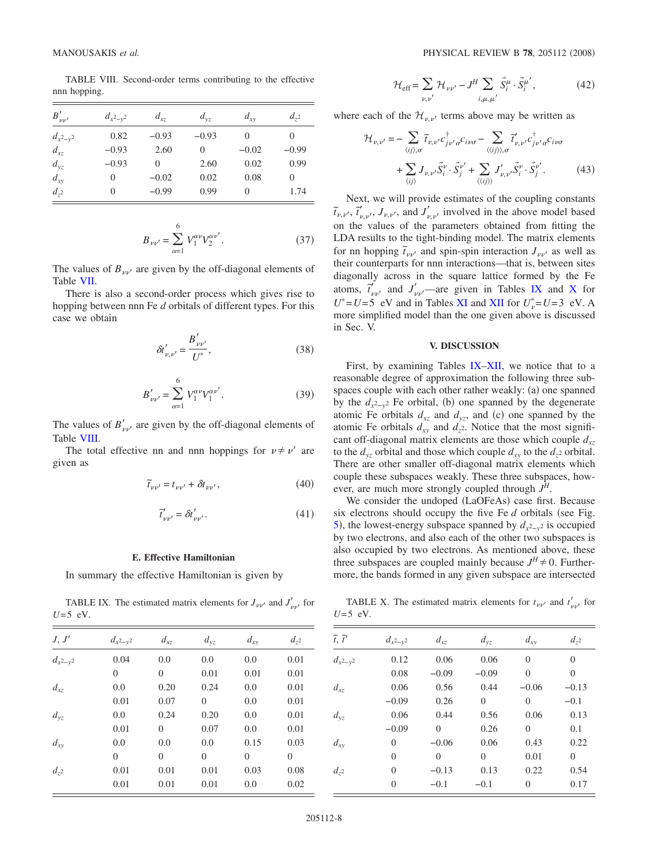TABLE VIII. Second-order terms contributing to the effective nnn hopping.

<span id="page-7-0"></span>

| $B'_{\nu\nu'}$ | $d_{x^2-y^2}$ | $d_{xz}$ | $d_{yz}$ | $d_{xy}$ | $d_{72}$ |
|----------------|---------------|----------|----------|----------|----------|
| $d_{x^2-y^2}$  | 0.82          | $-0.93$  | $-0.93$  | $\Omega$ | 0        |
| $d_{xz}$       | $-0.93$       | 2.60     | 0        | $-0.02$  | $-0.99$  |
| $d_{yz}$       | $-0.93$       | 0        | 2.60     | 0.02     | 0.99     |
| $d_{xy}$       |               | $-0.02$  | 0.02     | 0.08     | 0        |
| $d_{z^2}$      | 0             | $-0.99$  | 0.99     | $\Omega$ | 1.74     |

$$
B_{\nu\nu'} = \sum_{\alpha=1}^{6} V_1^{\alpha\nu} V_2^{\alpha\nu'}.
$$
 (37)

The values of  $B_{\nu\nu'}$  are given by the off-diagonal elements of Table [VII.](#page-6-1)

There is also a second-order process which gives rise to hopping between nnn Fe *d* orbitals of different types. For this case we obtain

$$
\delta t'_{\nu,\nu'} = \frac{B'_{\nu\nu'}}{U^*},\tag{38}
$$

$$
B'_{\nu\nu'} = \sum_{\alpha=1}^{6} V_1^{\alpha\nu} V_1^{\alpha\nu'}.
$$
 (39)

The values of  $B'_{\mu\nu}$  are given by the off-diagonal elements of Table [VIII.](#page-7-0)

The total effective nn and nnn hoppings for  $v \neq v'$  are given as

$$
\widetilde{t}_{\nu\nu'} = t_{\nu\nu'} + \delta t_{\nu\nu'},\tag{40}
$$

$$
\tilde{t}'_{\nu\nu'} = \delta t'_{\nu\nu'}.\tag{41}
$$

### **E. Effective Hamiltonian**

In summary the effective Hamiltonian is given by

TABLE IX. The estimated matrix elements for  $J_{\nu\nu'}$  and  $J'_{\nu\nu'}$  for  $U=5$  eV.

<span id="page-7-1"></span>

| J, J'         | $d_{x^2-y^2}$  | $d_{xz}$       | $d_{yz}$       | $d_{xy}$       | $d_{z^2}$ |
|---------------|----------------|----------------|----------------|----------------|-----------|
| $d_{x^2-y^2}$ | 0.04           | 0.0            | 0.0            | 0.0            | 0.01      |
|               | $\overline{0}$ | $\overline{0}$ | 0.01           | 0.01           | 0.01      |
| $d_{xz}$      | 0.0            | 0.20           | 0.24           | 0.0            | 0.01      |
|               | 0.01           | 0.07           | $\overline{0}$ | 0.0            | 0.01      |
| $d_{yz}$      | 0.0            | 0.24           | 0.20           | 0.0            | 0.01      |
|               | 0.01           | $\Omega$       | 0.07           | 0.0            | 0.01      |
| $d_{xy}$      | 0.0            | 0.0            | 0.0            | 0.15           | 0.03      |
|               | $\overline{0}$ | $\overline{0}$ | $\overline{0}$ | $\overline{0}$ | $\theta$  |
| $d_{z^2}$     | 0.01           | 0.01           | 0.01           | 0.03           | 0.08      |
|               | 0.01           | 0.01           | 0.01           | 0.0            | 0.02      |

$$
\mathcal{H}_{\text{eff}} = \sum_{\nu,\nu'} \mathcal{H}_{\nu\nu'} - J^H \sum_{i,\mu,\mu'} \vec{S}_i^{\mu} \cdot \vec{S}_i^{\mu'}, \qquad (42)
$$

<span id="page-7-3"></span>where each of the  $\mathcal{H}_{\nu,\nu'}$  terms above may be written as

<span id="page-7-4"></span>
$$
\mathcal{H}_{\nu,\nu'} = -\sum_{\langle ij\rangle,\sigma} \tilde{t}_{\nu,\nu'} c_{j\nu'\sigma}^{\dagger} c_{i\nu\sigma} - \sum_{\langle\langle ij\rangle\rangle,\sigma} \tilde{t}'_{\nu,\nu'} c_{j\nu'\sigma}^{\dagger} c_{i\nu\sigma} \n+ \sum_{\langle ij\rangle} J_{\nu,\nu'} \vec{S}^{\nu}_{i} \cdot \vec{S}^{\nu'}_{j} + \sum_{\langle\langle ij\rangle\rangle} J'_{\nu,\nu'} \vec{S}^{\nu}_{i} \cdot \vec{S}^{\nu'}_{j}. \tag{43}
$$

Next, we will provide estimates of the coupling constants  $\tilde{t}_{\nu,\nu'}$ ,  $\tilde{t}'_{\nu,\nu'}$ ,  $J_{\nu,\nu'}$ , and  $J'_{\nu,\nu'}$  involved in the above model based on the values of the parameters obtained from fitting the LDA results to the tight-binding model. The matrix elements for nn hopping  $\tilde{t}_{\mu\nu}$  and spin-spin interaction  $J_{\mu\nu}$  as well as their counterparts for nnn interactions—that is, between sites diagonally across in the square lattice formed by the Fe atoms,  $\tilde{t}'_{\nu\nu'}$  and  $J'_{\nu\nu'}$  —are given in Tables [IX](#page-7-1) and [X](#page-7-2) for  $U^* = U = 5$  eV and in Tables [XI](#page-8-0) and [XII](#page-8-1) for  $U^*_{\nu} = U = 3$  eV. A more simplified model than the one given above is discussed in Sec. V.

## **V. DISCUSSION**

First, by examining Tables [IX–](#page-7-1)[XII,](#page-8-1) we notice that to a reasonable degree of approximation the following three subspaces couple with each other rather weakly: (a) one spanned by the  $d_{x^2-y^2}$  Fe orbital, (b) one spanned by the degenerate atomic Fe orbitals  $d_{xz}$  and  $d_{yz}$ , and (c) one spanned by the atomic Fe orbitals  $d_{xy}$  and  $d_{z}$ <sup>2</sup>. Notice that the most significant off-diagonal matrix elements are those which couple  $d_{xz}$ to the  $d_{yz}$  orbital and those which couple  $d_{xy}$  to the  $d_{z^2}$  orbital. There are other smaller off-diagonal matrix elements which couple these subspaces weakly. These three subspaces, however, are much more strongly coupled through *J<sup>H</sup>*.

We consider the undoped (LaOFeAs) case first. Because six electrons should occupy the five Fe  $d$  orbitals (see Fig. [5](#page-4-0)), the lowest-energy subspace spanned by  $d_{x^2-y^2}$  is occupied by two electrons, and also each of the other two subspaces is also occupied by two electrons. As mentioned above, these three subspaces are coupled mainly because  $J^H \neq 0$ . Furthermore, the bands formed in any given subspace are intersected

TABLE X. The estimated matrix elements for  $t_{\nu\nu'}$  and  $t'_{\nu\nu'}$  for  $U=5$  eV.

<span id="page-7-2"></span>

| $\widetilde{t}, \widetilde{t}'$ | $d_{x^2-y^2}$ | $d_{xz}$ | $d_{yz}$ | $d_{xy}$       | $d_{z^2}$      |
|---------------------------------|---------------|----------|----------|----------------|----------------|
| $d_{x^2-y^2}$                   | 0.12          | 0.06     | 0.06     | $\overline{0}$ | $\Omega$       |
|                                 | 0.08          | $-0.09$  | $-0.09$  | $\overline{0}$ | $\overline{0}$ |
| $d_{xz}$                        | 0.06          | 0.56     | 0.44     | $-0.06$        | $-0.13$        |
|                                 | $-0.09$       | 0.26     | $\Omega$ | $\Omega$       | $-0.1$         |
| $d_{yz}$                        | 0.06          | 0.44     | 0.56     | 0.06           | 0.13           |
|                                 | $-0.09$       | 0        | 0.26     | $\overline{0}$ | 0.1            |
| $d_{xy}$                        | 0             | $-0.06$  | 0.06     | 0.43           | 0.22           |
|                                 | $\Omega$      | 0        | $\Omega$ | 0.01           | $\overline{0}$ |
| $d_{z^2}$                       | 0             | $-0.13$  | 0.13     | 0.22           | 0.54           |
|                                 | 0             | $-0.1$   | $-0.1$   | $\overline{0}$ | 0.17           |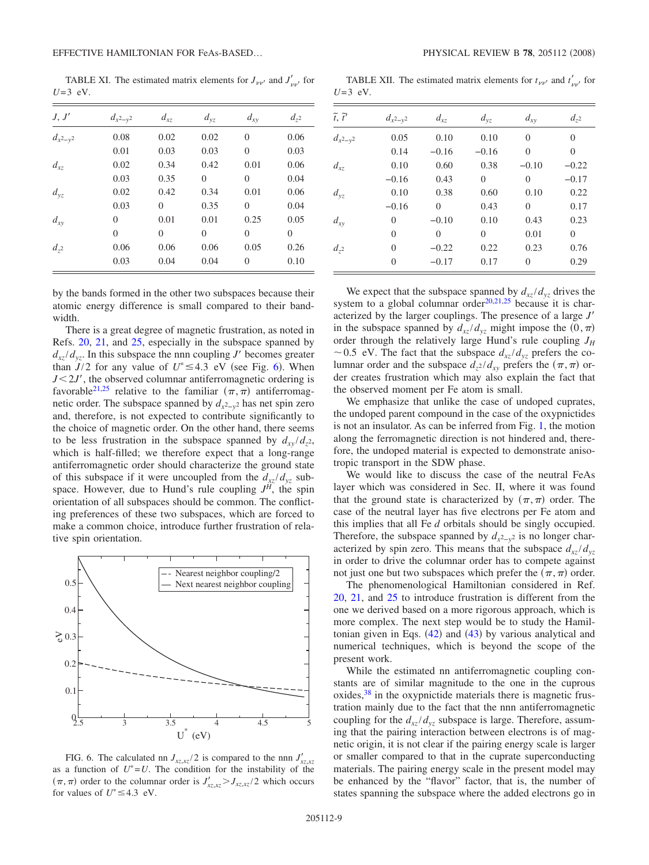TABLE XI. The estimated matrix elements for  $J_{\nu\nu'}$  and  $J'_{\nu\nu'}$  for  $U=3$  eV.

<span id="page-8-0"></span>

| J, J'         | $d_{x^2-y^2}$ | $d_{xz}$ | $d_{yz}$       | $d_{xy}$       | $d_{z^2}$      |
|---------------|---------------|----------|----------------|----------------|----------------|
| $d_{x^2-y^2}$ | 0.08          | 0.02     | 0.02           | $\overline{0}$ | 0.06           |
|               | 0.01          | 0.03     | 0.03           | $\overline{0}$ | 0.03           |
| $d_{xz}$      | 0.02          | 0.34     | 0.42           | 0.01           | 0.06           |
|               | 0.03          | 0.35     | $\overline{0}$ | $\overline{0}$ | 0.04           |
| $d_{yz}$      | 0.02          | 0.42     | 0.34           | 0.01           | 0.06           |
|               | 0.03          | $\theta$ | 0.35           | $\overline{0}$ | 0.04           |
| $d_{xy}$      | 0             | 0.01     | 0.01           | 0.25           | 0.05           |
|               | 0             | $\Omega$ | $\overline{0}$ | $\overline{0}$ | $\overline{0}$ |
| $d_{z^2}$     | 0.06          | 0.06     | 0.06           | 0.05           | 0.26           |
|               | 0.03          | 0.04     | 0.04           | $\Omega$       | 0.10           |

by the bands formed in the other two subspaces because their atomic energy difference is small compared to their bandwidth.

There is a great degree of magnetic frustration, as noted in Refs. [20,](#page-9-7) [21,](#page-9-21) and [25,](#page-9-22) especially in the subspace spanned by  $d_{xz}/d_{yz}$ . In this subspace the nnn coupling *J'* becomes greater than  $J/2$  for any value of  $U^* \leq 4.3$  eV (see Fig. [6](#page-8-2)). When  $J < 2J'$ , the observed columnar antiferromagnetic ordering is favorable<sup>21[,25](#page-9-22)</sup> relative to the familiar  $(\pi,\pi)$  antiferromagnetic order. The subspace spanned by  $d_{x^2-y^2}$  has net spin zero and, therefore, is not expected to contribute significantly to the choice of magnetic order. On the other hand, there seems to be less frustration in the subspace spanned by  $d_{xy}/d_{z^2}$ , which is half-filled; we therefore expect that a long-range antiferromagnetic order should characterize the ground state of this subspace if it were uncoupled from the  $d_{xz}/d_{yz}$  subspace. However, due to Hund's rule coupling  $J<sup>H</sup>$ , the spin orientation of all subspaces should be common. The conflicting preferences of these two subspaces, which are forced to make a common choice, introduce further frustration of relative spin orientation.

<span id="page-8-2"></span>

FIG. 6. The calculated nn  $J_{xz, xz}/2$  is compared to the nnn  $J'_{xz, xz}$ as a function of  $U^*=U$ . The condition for the instability of the  $(\pi, \pi)$  order to the columnar order is  $J'_{xz, xz} > J_{xz, xz}/2$  which occurs for values of  $U^* \leq 4.3$  eV.

TABLE XII. The estimated matrix elements for  $t_{\nu\nu'}$  and  $t'_{\nu\nu'}$  for  $U=3$  eV.

<span id="page-8-1"></span>

| $\widetilde{t}, \widetilde{t}'$ | $d_{x^2-y^2}$ | $d_{xz}$ | $d_{yz}$       | $d_{xy}$       | $d_{z^2}$ |
|---------------------------------|---------------|----------|----------------|----------------|-----------|
| $d_{x^2-y^2}$                   | 0.05          | 0.10     | 0.10           | $\overline{0}$ | $\Omega$  |
|                                 | 0.14          | $-0.16$  | $-0.16$        | $\overline{0}$ | 0         |
| $d_{xz}$                        | 0.10          | 0.60     | 0.38           | $-0.10$        | $-0.22$   |
|                                 | $-0.16$       | 0.43     | $\overline{0}$ | $\overline{0}$ | $-0.17$   |
| $d_{yz}$                        | 0.10          | 0.38     | 0.60           | 0.10           | 0.22      |
|                                 | $-0.16$       | $\Omega$ | 0.43           | $\overline{0}$ | 0.17      |
| $d_{xy}$                        | $\Omega$      | $-0.10$  | 0.10           | 0.43           | 0.23      |
|                                 | $\Omega$      | $\theta$ | $\Omega$       | 0.01           | 0         |
| $d_{z^2}$                       | $\Omega$      | $-0.22$  | 0.22           | 0.23           | 0.76      |
|                                 | $\Omega$      | $-0.17$  | 0.17           | $\overline{0}$ | 0.29      |

We expect that the subspace spanned by  $d_{xz}/d_{yz}$  drives the system to a global columnar order $20,21,25$  $20,21,25$  $20,21,25$  because it is characterized by the larger couplings. The presence of a large *J* in the subspace spanned by  $d_{xz}/d_{yz}$  might impose the  $(0, \pi)$ order through the relatively large Hund's rule coupling  $J_H$  $\sim$  0.5 eV. The fact that the subspace  $d_{xz}/d_{yz}$  prefers the columnar order and the subspace  $d_{z}$ <sup>2</sup>/ $d_{xy}$  prefers the  $(\pi,\pi)$  order creates frustration which may also explain the fact that the observed moment per Fe atom is small.

We emphasize that unlike the case of undoped cuprates, the undoped parent compound in the case of the oxypnictides is not an insulator. As can be inferred from Fig. [1,](#page-0-0) the motion along the ferromagnetic direction is not hindered and, therefore, the undoped material is expected to demonstrate anisotropic transport in the SDW phase.

We would like to discuss the case of the neutral FeAs layer which was considered in Sec. II, where it was found that the ground state is characterized by  $(\pi, \pi)$  order. The case of the neutral layer has five electrons per Fe atom and this implies that all Fe *d* orbitals should be singly occupied. Therefore, the subspace spanned by  $d_{x^2-y^2}$  is no longer characterized by spin zero. This means that the subspace  $d_{xz}/d_{yz}$ in order to drive the columnar order has to compete against not just one but two subspaces which prefer the  $(\pi,\pi)$  order.

The phenomenological Hamiltonian considered in Ref. [20,](#page-9-7) [21,](#page-9-21) and [25](#page-9-22) to introduce frustration is different from the one we derived based on a more rigorous approach, which is more complex. The next step would be to study the Hamiltonian given in Eqs.  $(42)$  $(42)$  $(42)$  and  $(43)$  $(43)$  $(43)$  by various analytical and numerical techniques, which is beyond the scope of the present work.

While the estimated nn antiferromagnetic coupling constants are of similar magnitude to the one in the cuprous  $\alpha$  oxides,  $38$  in the oxypnictide materials there is magnetic frustration mainly due to the fact that the nnn antiferromagnetic coupling for the  $d_{xz}/d_{yz}$  subspace is large. Therefore, assuming that the pairing interaction between electrons is of magnetic origin, it is not clear if the pairing energy scale is larger or smaller compared to that in the cuprate superconducting materials. The pairing energy scale in the present model may be enhanced by the "flavor" factor, that is, the number of states spanning the subspace where the added electrons go in